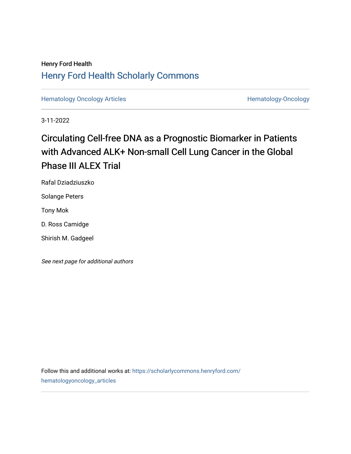# Henry Ford Health [Henry Ford Health Scholarly Commons](https://scholarlycommons.henryford.com/)

[Hematology Oncology Articles](https://scholarlycommons.henryford.com/hematologyoncology_articles) **Hematology-Oncology** 

3-11-2022

# Circulating Cell-free DNA as a Prognostic Biomarker in Patients with Advanced ALK+ Non-small Cell Lung Cancer in the Global Phase III ALEX Trial

Rafal Dziadziuszko

Solange Peters

Tony Mok

D. Ross Camidge

Shirish M. Gadgeel

See next page for additional authors

Follow this and additional works at: [https://scholarlycommons.henryford.com/](https://scholarlycommons.henryford.com/hematologyoncology_articles?utm_source=scholarlycommons.henryford.com%2Fhematologyoncology_articles%2F236&utm_medium=PDF&utm_campaign=PDFCoverPages) [hematologyoncology\\_articles](https://scholarlycommons.henryford.com/hematologyoncology_articles?utm_source=scholarlycommons.henryford.com%2Fhematologyoncology_articles%2F236&utm_medium=PDF&utm_campaign=PDFCoverPages)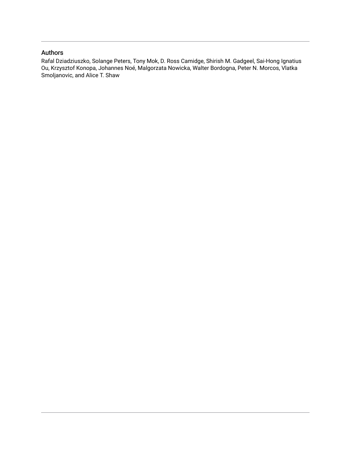# Authors

Rafal Dziadziuszko, Solange Peters, Tony Mok, D. Ross Camidge, Shirish M. Gadgeel, Sai-Hong Ignatius Ou, Krzysztof Konopa, Johannes Noé, Malgorzata Nowicka, Walter Bordogna, Peter N. Morcos, Vlatka Smoljanovic, and Alice T. Shaw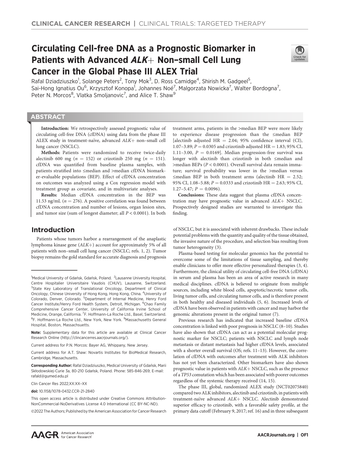# Circulating Cell-free DNA as a Prognostic Biomarker in Patients with Advanced  $ALK+$  Non–small Cell Lung Cancer in the Global Phase III ALEX Trial



Rafal Dziadziuszko<sup>1</sup>, Solange Peters<sup>2</sup>, Tony Mok<sup>3</sup>, D. Ross Camidge<sup>4</sup>, Shirish M. Gadgeel<sup>5</sup>, Sai-Hong Ignatius Ou<sup>6</sup>, Krzysztof Konopa<sup>1</sup>, Johannes Noé<sup>7</sup>, Malgorzata Nowicka<sup>7</sup>, Walter Bordogna<sup>7</sup>, Peter N. Morcos<sup>8</sup>, Vlatka Smoljanovic<sup>7</sup>, and Alice T. Shaw<sup>9</sup>

# **ABSTRACT**

◥

Introduction: We retrospectively assessed prognostic value of circulating cell-free DNA (cfDNA) using data from the phase III ALEX study in treatment-naïve, advanced  $ALK+$  non-small cell lung cancer (NSCLC).

Methods: Patients were randomized to receive twice-daily alectinib 600 mg ( $n = 152$ ) or crizotinib 250 mg ( $n = 151$ ). cfDNA was quantified from baseline plasma samples, with patients stratified into ≤median and >median cfDNA biomarker-evaluable populations (BEP). Effect of cfDNA concentration on outcomes was analyzed using a Cox regression model with treatment group as covariate, and in multivariate analyses.

Results: Median cfDNA concentration in the BEP was 11.53 ng/mL ( $n = 276$ ). A positive correlation was found between cfDNA concentration and number of lesions, organ lesion sites, and tumor size (sum of longest diameter; all  $P < 0.0001$ ). In both

# Introduction

Patients whose tumors harbor a rearrangement of the anaplastic lymphoma kinase gene  $(ALK+)$  account for approximately 5% of all patients with non–small cell lung cancer (NSCLC; refs. 1, 2). Tumor biopsy remains the gold standard for accurate diagnosis and prognosis

Clin Cancer Res 2022;XX:XX–XX

doi: 10.1158/1078-0432.CCR-21-2840

This open access article is distributed under Creative Commons Attribution-NonCommercial-NoDerivatives License 4.0 International (CC BY-NC-ND).

©2022 The Authors; Published by the American Association for Cancer Research

treatment arms, patients in the >median BEP were more likely to experience disease progression than the ≤median BEP [alectinib adjusted  $HR = 2.04$ ; 95% confidence interval (CI), 1.07–3.89;  $P = 0.0305$  and crizotinib adjusted HR = 1.83; 95% CI, 1.11–3.00,  $P = 0.0169$ ]. Median progression-free survival was longer with alectinib than crizotinib in both ≤median and >median BEPs (P < 0.0001). Overall survival data remain immature; survival probability was lower in the >median versus  $\leq$ median BEP in both treatment arms (alectinib HR = 2.52; 95% CI, 1.08-5.88;  $P = 0.0333$  and crizotinib HR = 2.63; 95% CI,  $1.27-5.47; P = 0.0096$ .

Conclusions: These data suggest that plasma cfDNA concentration may have prognostic value in advanced  $ALK+$  NSCLC. Prospectively designed studies are warranted to investigate this finding.

of NSCLC, but it is associated with inherent drawbacks. These include potential problems with the quantity and quality of the tissue obtained, the invasive nature of the procedure, and selection bias resulting from tumor heterogeneity (3).

Plasma-based testing for molecular genomics has the potential to overcome some of the limitations of tissue sampling, and thereby enable clinicians to offer more effective personalized therapies (3, 4). Furthermore, the clinical utility of circulating cell-free DNA (cfDNA) in serum and plasma has been an area of active research in many medical disciplines. cfDNA is believed to originate from multiple sources, including white blood cells, apoptotic/necrotic tumor cells, living tumor cells, and circulating tumor cells, and is therefore present in both healthy and diseased individuals (5, 6). Increased levels of cfDNA have been observed in patients with cancer and may harbor the genomic alterations present in the original tumor (7).

Previous research has indicated that increased baseline cfDNA concentration is linked with poor prognosis in NSCLC (8–10). Studies have also shown that cfDNA can act as a potential molecular prognostic marker for NSCLC; patients with NSCLC and lymph node metastasis or distant metastasis had higher cfDNA levels, associated with a shorter overall survival (OS; refs. 11–13). However, the correlation of cfDNA with outcomes after treatment with ALK inhibitors has not yet been characterized. Other biomarkers have also shown prognostic value in patients with  $ALK+$  NSCLC, such as the presence of a TP53 comutation which has been associated with poorer outcomes regardless of the systemic therapy received (14, 15).

The phase III, global, randomized ALEX study (NCT02075840) compared two ALK inhibitors, alectinib and crizotinib, in patients with treatment-naïve advanced ALK+ NSCLC. Alectinib demonstrated superior efficacy to crizotinib, with a favorable safety profile, at the primary data cutoff (February 9, 2017; ref. 16) and in three subsequent

<sup>&</sup>lt;sup>1</sup>Medical University of Gdańsk, Gdańsk, Poland. <sup>2</sup>Lausanne University Hospital, Centre Hospitalier Universitaire Vaudois (CHUV), Lausanne, Switzerland. <sup>3</sup>State Key Laboratory of Translational Oncology, Department of Clinical Oncology, Chinese University of Hong Kong, Hong Kong, China. <sup>4</sup>University of Colorado, Denver, Colorado. <sup>5</sup>Department of Internal Medicine, Henry Ford Cancer Institute/Henry Ford Health System, Detroit, Michigan. <sup>6</sup>Chao Family Comprehensive Cancer Center, University of California Irvine School of Medicine, Orange, California. <sup>7</sup>F. Hoffmann-La Roche Ltd., Basel, Switzerland. <sup>8</sup>F. Hoffmann-La Roche Ltd., New York, New York. <sup>9</sup>Massachusetts General Hospital, Boston, Massachsuetts.

Note: Supplementary data for this article are available at Clinical Cancer Research Online (http://clincancerres.aacrjournals.org/).

Current address for P.N. Morcos: Bayer AG, Whippany, New Jersey.

Current address for A.T. Shaw: Novartis Institutes for BioMedical Research, Cambridge, Massachusetts.

Corresponding Author: Rafal Dziadziuszko, Medical University of Gdańsk, Marii Skłodowskiej-Curie 3a, 80-210 Gdansk, Poland. Phone: 585-846-269; E-mail: rafald@gumed.edu.pl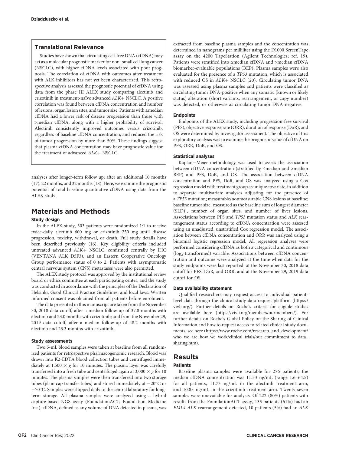## Translational Relevance

Studies have shown that circulating cell-free DNA (cfDNA) may act as a molecular prognostic marker for non–small cell lung cancer (NSCLC), with higher cfDNA levels associated with poor prognosis. The correlation of cfDNA with outcomes after treatment with ALK inhibitors has not yet been characterized. This retrospective analysis assessed the prognostic potential of cfDNA using data from the phase III ALEX study comparing alectinib and crizotinib in treatment-naïve advanced  $ALK+$  NSCLC. A positive correlation was found between cfDNA concentration and number of lesions, organ lesion sites, and tumor size. Patients with ≤median cfDNA had a lower risk of disease progression than those with >median cfDNA, along with a higher probability of survival. Alectinib consistently improved outcomes versus crizotinib, regardless of baseline cfDNA concentration, and reduced the risk of tumor progression by more than 50%. These findings suggest that plasma cfDNA concentration may have prognostic value for the treatment of advanced ALK+ NSCLC.

analyses after longer-term follow up; after an additional 10 months (17), 22 months, and 32 months (18). Here, we examine the prognostic potential of total baseline quantitative cfDNA using data from the ALEX study.

# Materials and Methods

#### Study design

In the ALEX study, 303 patients were randomized 1:1 to receive twice-daily alectinib 600 mg or crizotinib 250 mg until disease progression, toxicity, withdrawal, or death. Full study details have been described previously (16). Key eligibility criteria included untreated advanced ALK+ NSCLC, confirmed centrally by IHC (VENTANA ALK D5F3), and an Eastern Cooperative Oncology Group performance status of 0 to 2. Patients with asymptomatic central nervous system (CNS) metastases were also permitted.

The ALEX study protocol was approved by the institutional review board or ethics committee at each participating center, and the study was conducted in accordance with the principles of the Declaration of Helsinki, Good Clinical Practice Guidelines, and local laws. Written informed consent was obtained from all patients before enrolment.

The data presented in this manuscript are taken from the November 30, 2018 data cutoff, after a median follow-up of 37.8 months with alectinib and 23.0 months with crizotinib; and from the November 29, 2019 data cutoff, after a median follow-up of 48.2 months with alectinib and 23.3 months with crizotinib.

### Study assessments

Two 5-mL blood samples were taken at baseline from all randomized patients for retrospective pharmacogenomic research. Blood was drawn into K2-EDTA blood collection tubes and centrifuged immediately at 1,500  $\times$  g for 10 minutes. The plasma layer was carefully transferred into a fresh tube and centrifuged again at 3,000  $\times$  g for 10 minutes. The plasma samples were then transferred into two storage tubes (plain cap transfer tubes) and stored immediately at  $-20^{\circ}$ C or -70°C. Samples were shipped daily to the central laboratory for longterm storage. All plasma samples were analyzed using a hybrid capture-based NGS assay (FoundationACT, Foundation Medicine Inc.). cfDNA, defined as any volume of DNA detected in plasma, was extracted from baseline plasma samples and the concentration was determined in nanograms per milliliter using the D1000 ScreenTape assay on the 4200 TapeStation (Agilent Technologies; ref. 19). Patients were stratified into ≤median cfDNA and >median cfDNA biomarker-evaluable populations (BEP). Plasma samples were also evaluated for the presence of a TP53 mutation, which is associated with reduced OS in  $ALK$  NSCLC (20). Circulating tumor DNA was assessed using plasma samples and patients were classified as circulating tumor DNA-positive when any somatic (known or likely status) alteration (short variants, rearrangement, or copy number) was detected, or otherwise as circulating tumor DNA-negative.

#### **Endpoints**

Endpoints of the ALEX study, including progression-free survival (PFS), objective response rate (ORR), duration of response (DoR), and OS were determined by investigator assessment. The objective of this exploratory analysis was to examine the prognostic value of cfDNA on PFS, ORR, DoR, and OS.

## Statistical analyses

Kaplan-Meier methodology was used to assess the association between cfDNA concentration (stratified by ≤median and >median BEP) and PFS, DoR, and OS. The association between cfDNA concentration and PFS, DoR, and OS was analyzed using a Cox regression model with treatment group as unique covariate, in addition to separate multivariate analyses adjusting for the presence of a TP53 mutation; measurable/nonmeasurable CNS lesions at baseline; baseline tumor size [measured as the baseline sum of longest diameter (SLD)], number of organ sites, and number of liver lesions. Associations between PFS and TP53 mutation status and ALK rearrangement status according to cfDNA concentration were assessed using an unadjusted, unstratified Cox regression model. The association between cfDNA concentration and ORR was analyzed using a binomial logistic regression model. All regression analyses were performed considering cfDNA as both a categorical and continuous (log<sub>2</sub>-transformed) variable. Associations between cfDNA concentration and outcome were analyzed at the time when data for the study endpoints were last reported: at the November 30, 2018 data cutoff for PFS, DoR, and ORR, and at the November 29, 2019 data cutoff for OS.

## Data availability statement

Qualified researchers may request access to individual patientlevel data through the clinical study data request platform ([https://](https://vivli.org/) [vivli.org/](https://vivli.org/)). Further details on Roche's criteria for eligible studies are available here [\(https://vivli.org/members/ourmembers/](https://vivli.org/members/ourmembers/)). For further details on Roche's Global Policy on the Sharing of Clinical Information and how to request access to related clinical study documents, see here [\(https://www.roche.com/research\\_and\\_development/](https://www.roche.com/research_and_development/who_we_are_how_we_work/clinical_trials/our_commitment_to_data_sharing.htm) [who\\_we\\_are\\_how\\_we\\_work/clinical\\_trials/our\\_commitment\\_to\\_data\\_](https://www.roche.com/research_and_development/who_we_are_how_we_work/clinical_trials/our_commitment_to_data_sharing.htm) [sharing.htm\)](https://www.roche.com/research_and_development/who_we_are_how_we_work/clinical_trials/our_commitment_to_data_sharing.htm).

## Results

## Patients

Baseline plasma samples were available for 276 patients; the median cfDNA concentration was 11.53 ng/mL (range 1.6–64.5) for all patients, 11.73 ng/mL in the alectinib treatment arm, and 10.85 ng/mL in the crizotinib treatment arm. Twenty-seven samples were unavailable for analysis. Of 222 (80%) patients with results from the FoundationACT assay, 135 patients (61%) had an EML4-ALK rearrangement detected, 10 patients (5%) had an ALK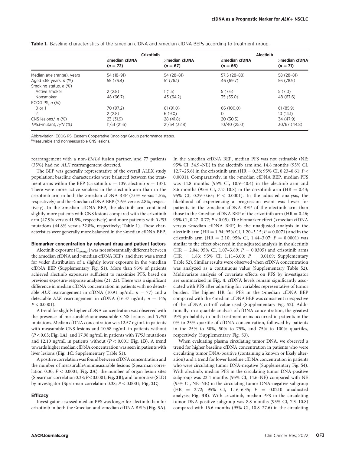|                                   | <b>Crizotinib</b>                 |                             | <b>Alectinib</b>                  |                                |  |
|-----------------------------------|-----------------------------------|-----------------------------|-----------------------------------|--------------------------------|--|
|                                   | $\leq$ median cfDNA<br>$(n = 72)$ | >median cfDNA<br>$(n = 67)$ | $\leq$ median cfDNA<br>$(n = 66)$ | $>$ median cfDNA<br>$(n = 71)$ |  |
| Median age (range), years         | 54 (18-91)                        | 54 (28-81)                  | 57.5 (28-88)                      | 58 (28-81)                     |  |
| Aged $<$ 65 years, n $(\%)$       | 55 (76.4)                         | 51(76.1)                    | 46 (69.7)                         | 56 (78.9)                      |  |
| Smoking status, n (%)             |                                   |                             |                                   |                                |  |
| Active smoker                     | 2(2.8)                            | 1(1.5)                      | 5(7.6)                            | 5(7.0)                         |  |
| Nonsmoker                         | 48 (66.7)                         | 43 (64.2)                   | 35 (53.0)                         | 48 (67.6)                      |  |
| ECOG PS, $n$ $%$                  |                                   |                             |                                   |                                |  |
| 0 or 1                            | 70 (97.2)                         | 61(91.0)                    | 66 (100.0)                        | 61(85.9)                       |  |
|                                   | 2(2.8)                            | 6(9.0)                      | 0                                 | 10(14.1)                       |  |
| CNS lesions, <sup>a</sup> $n$ (%) | 23 (31.9)                         | 28 (41.8)                   | 20(30.3)                          | 34 (47.9)                      |  |
| $TP53$ -mutant. $n/N$ (%)         | 11/51(21.6)                       | 21/64(32.8)                 | 10/40(25.0)                       | 30/67 (44.8)                   |  |

Table 1. Baseline characteristics of the ≤median cfDNA and >median cfDNA BEPs according to treatment group.

Abbreviation: ECOG PS, Eastern Cooperative Oncology Group performance status.

aMeasurable and nonmeasurable CNS lesions.

rearrangement with a non-EML4 fusion partner, and 77 patients (35%) had no ALK rearrangement detected.

The BEP was generally representative of the overall ALEX study population; baseline characteristics were balanced between the treatment arms within the BEP (crizotinib  $n = 139$ , alectinib  $n = 137$ ). There were more active smokers in the alectinib arm than in the crizotinib arm in both the >median cfDNA BEP (7.0% versus 1.5%, respectively) and the ≤median cfDNA BEP (7.6% versus 2.8%, respectively). In the >median cfDNA BEP, the alectinib arm contained slightly more patients with CNS lesions compared with the crizotinib arm (47.9% versus 41.8%, respectively) and more patients with TP53 mutations (44.8% versus 32.8%, respectively; Table 1). These characteristics were generally more balanced in the ≤median cfDNA BEP.

#### Biomarker concentration by relevant drug and patient factors

Alectinib exposure  $(C_{\text{trough}})$  was not substantially different between the ≤median cfDNA and >median cfDNA BEPs, and there was a trend for wider distribution of a slightly lower exposure in the >median cfDNA BEP (Supplementary Fig. S1). More than 95% of patients achieved alectinib exposures sufficient to maximize PFS, based on previous exposure-response analyses (21, 22). There was a significant difference in median cfDNA concentration in patients with no detectable ALK rearrangement in cfDNA (10.91 ng/mL;  $n = 77$ ) and a detectable ALK rearrangement in cfDNA (16.37 ng/mL;  $n = 145$ ;  $P < 0.0001$ ).

A trend for slightly higher cfDNA concentration was observed with the presence of measurable/nonmeasurable CNS lesions and TP53 mutations. Median cfDNA concentration was 12.57 ng/mL in patients with measurable CNS lesions and 10.68 ng/mL in patients without (P < 0.05; Fig. 1A), and 17.98 ng/mL in patients with TP53 mutations and 12.10 ng/mL in patients without  $(P < 0.001;$  Fig. 1B). A trend towards higher median cfDNA concentration was seen in patients with liver lesions (Fig. 1C; Supplementary Table S1).

A positive correlation was found between cfDNA concentration and the number of measurable/nonmeasurable lesions (Spearman correlation 0.30;  $P < 0.0001$ ; Fig. 2A); the number of organ lesion sites (Spearman correlation 0.38; P < 0.0001; Fig. 2B); and tumor size (SLD) by investigator (Spearman correlation 0.38; P < 0.0001; Fig. 2C).

#### **Efficacy**

Investigator-assessed median PFS was longer for alectinib than for crizotinib in both the ≤median and >median cfDNA BEPs (Fig. 3A). In the ≤median cfDNA BEP, median PFS was not estimable (NE; 95% CI, 34.9–NE) in the alectinib arm and 14.8 months (95% CI, 12.7–25.6) in the crizotinib arm (HR = 0.38; 95% CI, 0.23–0.61; P < 0.0001). Comparatively, in the >median cfDNA BEP, median PFS was 14.8 months (95% CI, 10.9–40.4) in the alectinib arm and 8.6 months (95% CI, 7.2–10.8) in the crizotinib arm (HR =  $0.43$ ; 95% CI, 0.29-0.65;  $P < 0.0001$ ). In the adjusted analysis, the likelihood of experiencing a progression event was lower for patients in the >median cfDNA BEP of the alectinib arm than those in the  $\leq$ median cfDNA BEP of the crizotinib arm (HR = 0.46; 95% CI, 0.27–0.77; P < 0.05). The biomarker effect (>median cfDNA versus ≤median cfDNA BEP) in the unadjusted analysis in the alectinib arm (HR = 1.94; 95% CI, 1.20–3.15;  $P = 0.0071$ ) and in the crizotinib arm (HR = 2.10; 95% CI, 1.44-3.07;  $P = 0.0001$ ) was similar to the effect observed in the adjusted analysis in the alectinib (HR = 2.04; 95% CI, 1.07-3.89;  $P = 0.0305$ ) and crizotinib arms (HR = 1.83; 95% CI, 1.11-3.00;  $P = 0.0169$ ; Supplementary Table S2). Similar results were observed when cfDNA concentration was analyzed as a continuous value (Supplementary Table S2). Multivariate analysis of covariate effects on PFS by investigator are summarized in Fig. 4. cfDNA levels remain significantly associated with PFS after adjusting for variables representative of tumor burden. The higher HR for PFS in the >median cfDNA BEP compared with the ≤median cfDNA BEP was consistent irrespective of the cfDNA cut-off value used (Supplementary Fig. S2). Additionally, in a quartile analysis of cfDNA concentration, the greatest PFS probability in both treatment arms occurred in patients in the 0% to 25% quartile of cfDNA concentration, followed by patients in the 25% to 50%, 50% to 75%, and 75% to 100% quartiles, respectively (Supplementary Fig. S3).

When evaluating plasma circulating tumor DNA, we observed a trend for higher baseline cfDNA concentration in patients who were circulating tumor DNA-positive (containing a known or likely alteration) and a trend for lower baseline cfDNA concentration in patients who were circulating tumor DNA-negative (Supplementary Fig. S4). With alectinib, median PFS in the circulating tumor DNA-positive subgroup was 22.4 months (95% CI, 14.6–NE) compared with NE (95% CI, NE–NE) in the circulating tumor DNA-negative subgroup  $(HR = 2.72; 95\% \text{ CI}, 1.16-6.35; P = 0.0210 \text{ unadjusted}$ analysis; Fig. 3B). With crizotinib, median PFS in the circulating tumor DNA-positive subgroup was 8.8 months (95% CI, 7.3–10.8) compared with 16.6 months (95% CI, 10.8–27.6) in the circulating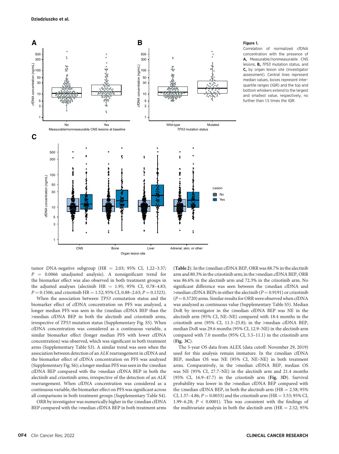

#### Figure 1.

Correlation of normalized cfDNA concentration with the presence of A, Measurable/nonmeasurable CNS lesions, B, TP53 mutation status, and C, by organ lesion site (investigator assessment). Central lines represent median values, boxes represent interquartile ranges (IQR) and the top and bottom whiskers extend to the largest and smallest value, respectively, no further than 1.5 times the IQR.

tumor DNA-negative subgroup (HR = 2.03; 95% CI, 1.22-3.37;  $P = 0.0066$  unadjusted analysis). A nonsignificant trend for the biomarker effect was also observed in both treatment groups in the adjusted analyses (alectinib  $HR = 1.95$ ; 95% CI, 0.78-4.83;  $P = 0.1506$ ; and crizotinib HR = 1.52; 95% CI, 0.88–2.63;  $P = 0.1323$ ).

When the association between TP53 comutation status and the biomarker effect of cfDNA concentration on PFS was analyzed, a longer median PFS was seen in the ≤median cfDNA BEP than the >median cfDNA BEP in both the alectinib and crizotinib arms, irrespective of TP53 mutation status (Supplementary Fig. S5). When cfDNA concentration was considered as a continuous variable, a similar biomarker effect (longer median PFS with lower cfDNA concentration) was observed, which was significant in both treatment arms (Supplementary Table S3). A similar trend was seen when the association between detection of an ALK rearrangement in cfDNA and the biomarker effect of cfDNA concentration on PFS was analyzed (Supplementary Fig. S6); a longer median PFS was seen in the ≤median cfDNA BEP compared with the >median cfDNA BEP in both the alectinib and crizotinib arms, irrespective of the detection of an ALK rearrangement. When cfDNA concentration was considered as a continuous variable, the biomarker effect on PFS was significant across all comparisons in both treatment groups (Supplementary Table S4).

ORR by investigator was numerically higher in the ≤median cfDNA BEP compared with the >median cfDNA BEP in both treatment arms

(Table 2). In the ≤median cfDNA BEP, ORR was 88.7% in the alectinib arm and 80.3% in the crizotinib arm; in the >median cfDNA BEP, ORR was 86.6% in the alectinib arm and 72.3% in the crizotinib arm. No significant difference was seen between the ≤median cfDNA and  $\geq$ median cfDNA BEPs in either the alectinib ( $P = 0.9191$ ) or crizotinib  $(P = 0.3720)$  arms. Similar results for ORR were observed when cfDNA was analyzed as continuous value (Supplementary Table S5). Median DoR by investigator in the ≤median cfDNA BEP was NE in the alectinib arm (95% CI, NE–NE) compared with 18.4 months in the crizotinib arm (95% CI, 11.3–25.8); in the >median cfDNA BEP, median DoR was 29.6 months (95% CI, 12.9–NE) in the alectinib arm compared with 7.0 months (95% CI, 5.5–11.1) in the crizotinib arm (Fig. 3C).

The 5-year OS data from ALEX (data cutoff: November 29, 2019) used for this analysis remain immature. In the ≤median cfDNA BEP, median OS was NE (95% CI, NE–NE) in both treatment arms. Comparatively, in the >median cfDNA BEP, median OS was NE (95% CI, 27.7–NE) in the alectinib arm and 21.4 months (95% CI, 16.9–47.7) in the crizotinib arm (Fig. 3D). Survival probability was lower in the >median cfDNA BEP compared with the  $\leq$ median cfDNA BEP, in both the alectinib arm (HR = 2.58; 95%) CI, 1.37–4.86;  $P = 0.0033$ ) and the crizotinib arm (HR = 3.53; 95% CI, 1.99–6.28;  $P < 0.0001$ ). This was consistent with the findings of the multivariate analysis in both the alectinib arm ( $HR = 2.52$ ; 95%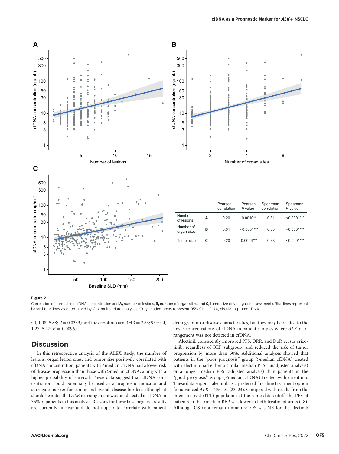

#### Figure 2.

Correlation of normalized cfDNA concentration and A, number of lesions, B, number of organ sites, and C, tumor size (investigator assessment). Blue lines represent hazard functions as determined by Cox multivariate analyses. Grey shaded areas represent 95% CIs. ctDNA, circulating tumor DNA.

CI, 1.08–5.88;  $P = 0.0333$ ) and the crizotinib arm (HR = 2.63; 95% CI,  $1.27-5.47; P = 0.0096$ .

# **Discussion**

In this retrospective analysis of the ALEX study, the number of lesions, organ lesion sites, and tumor size positively correlated with cfDNA concentration; patients with ≤median cfDNA had a lower risk of disease progression than those with >median cfDNA, along with a higher probability of survival. These data suggest that cfDNA concentration could potentially be used as a prognostic indicator and surrogate marker for tumor and overall disease burden, although it should be noted that ALK rearrangement was not detected in cfDNA in 35% of patients in this analysis. Reasons for these false negative results are currently unclear and do not appear to correlate with patient demographic or disease characteristics, but they may be related to the lower concentrations of cfDNA in patient samples where ALK rearrangement was not detected in cfDNA.

Alectinib consistently improved PFS, ORR, and DoR versus crizotinib, regardless of BEP subgroup, and reduced the risk of tumor progression by more than 50%. Additional analyses showed that patients in the "poor prognosis" group (>median cfDNA) treated with alectinib had either a similar median PFS (unadjusted analysis) or a longer median PFS (adjusted analysis) than patients in the "good prognosis" group (≤median cfDNA) treated with crizotinib. These data support alectinib as a preferred first-line treatment option for advanced  $ALK+$  NSCLC (23, 24). Compared with results from the intent-to-treat (ITT) population at the same data cutoff, the PFS of patients in the >median BEP was lower in both treatment arms (18). Although OS data remain immature, OS was NE for the alectinib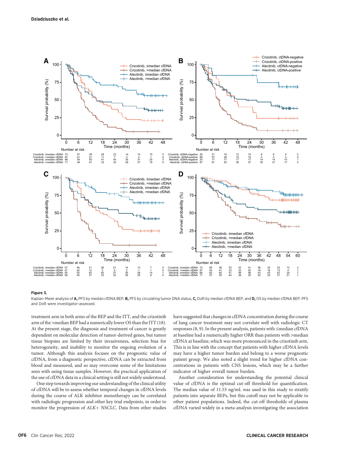

#### Figure 3.

Kaplan-Meier analysis of A, PFS by median cfDNA BEP, B, PFS by circulating tumor DNA status, C, DoR by median cfDNA BEP, and D, OS by median cfDNA BEP. PFS and DoR were investigator-assessed.

treatment arm in both arms of the BEP and the ITT, and the crizotinib arm of the >median BEP had a numerically lower OS than the ITT (18). At the present stage, the diagnosis and treatment of cancer is greatly dependent on molecular detection of tumor-derived genes, but tumor tissue biopsies are limited by their invasiveness, selection bias for heterogeneity, and inability to monitor the ongoing evolution of a tumor. Although this analysis focuses on the prognostic value of cfDNA, from a diagnostic perspective, cfDNA can be extracted from blood and measured, and so may overcome some of the limitations seen with using tissue samples. However, the practical application of the use of cfDNA data in a clinical setting is still not widely understood.

One step towards improving our understanding of the clinical utility of cfDNA will be to assess whether temporal changes in cfDNA levels during the course of ALK inhibitor monotherapy can be correlated with radiologic progression and other key trial endpoints, in order to monitor the progression of  $ALK$  NSCLC. Data from other studies

have suggested that changes in cfDNA concentration during the course of lung cancer treatment may not correlate well with radiologic CT responses (8, 9). In the present analysis, patients with ≤median cfDNA at baseline had a numerically higher ORR than patients with >median cfDNA at baseline, which was more pronounced in the crizotinib arm. This is in line with the concept that patients with higher cfDNA levels may have a higher tumor burden and belong to a worse prognostic patient group. We also noted a slight trend for higher cfDNA concentrations in patients with CNS lesions, which may be a further indicator of higher overall tumor burden.

Another consideration for understanding the potential clinical value of cfDNA is the optimal cut-off threshold for quantification. The median value of 11.53 ng/mL was used in this study to stratify patients into separate BEPs, but this cutoff may not be applicable to other patient populations. Indeed, the cut-off thresholds of plasma cfDNA varied widely in a meta-analysis investigating the association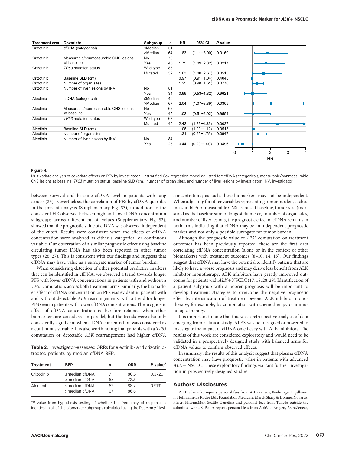| <b>Treatment arm</b> | Covariate                            | Subgroup       | n  | <b>HR</b> | 95% CI          | P value |             |
|----------------------|--------------------------------------|----------------|----|-----------|-----------------|---------|-------------|
| Crizotinib           | cfDNA (categorical)                  | ≤Median        | 51 |           |                 |         |             |
|                      |                                      | >Median        | 64 | 1.83      | $(1.11 - 3.00)$ | 0.0169  |             |
| Crizotinib           | Measurable/nonmeasurable CNS lesions | No             | 70 |           |                 |         |             |
|                      | at baseline                          | Yes            | 45 | 1.75      | $(1.09 - 2.82)$ | 0.0217  |             |
| Crizotinib           | TP53 mutation status                 | Wild type      | 83 |           |                 |         |             |
|                      |                                      | Mutated        | 32 | 1.63      | $(1.00 - 2.67)$ | 0.0515  |             |
| Crizotinib           | Baseline SLD (cm)                    |                |    | 0.97      | $(0.91 - 1.04)$ | 0.4048  |             |
| Crizotinib           | Number of organ sites                |                |    | 1.25      | $(0.98 - 1.61)$ | 0.0770  |             |
| Crizotinib           | Number of liver lesions by INV       | <b>No</b>      | 81 |           |                 |         |             |
|                      |                                      | Yes            | 34 | 0.99      | $(0.53 - 1.82)$ | 0.9621  |             |
| Alectinib            | cfDNA (categorical)                  | ≤Median        | 40 |           |                 |         |             |
|                      |                                      | >Median        | 67 | 2.04      | $(1.07 - 3.89)$ | 0.0305  |             |
| Alectinib            | Measurable/nonmeasurable CNS lesions | N <sub>0</sub> | 62 |           |                 |         |             |
|                      | at baseline                          | Yes            | 45 | 1.02      | $(0.51 - 2.02)$ | 0.9554  |             |
| Alectinib            | TP53 mutation status                 | Wild type      | 67 |           |                 |         |             |
|                      |                                      | Mutated        | 40 | 2.42      | $(1.36 - 4.32)$ | 0.0027  |             |
| Alectinib            | Baseline SLD (cm)                    |                |    | 1.06      | $(1.00 - 1.12)$ | 0.0513  |             |
| Alectinib            | Number of organ sites                |                |    | 1.31      | $(0.95 - 1.79)$ | 0.0947  |             |
| Alectinib            | Number of liver lesions by INV       | <b>No</b>      | 84 |           |                 |         |             |
|                      |                                      | Yes            | 23 | 0.44      | $(0.20 - 1.00)$ | 0.0496  |             |
|                      |                                      |                |    |           |                 |         |             |
|                      |                                      |                |    |           |                 |         | 3<br>2<br>0 |
|                      |                                      |                |    |           |                 |         | <b>HR</b>   |

#### Figure 4.

Multivariate analysis of covariate effects on PFS by investigator. Unstratified Cox regression model adjusted for: cfDNA (categorical), measurable/nonmeasurable CNS lesions at baseline, TP53 mutation status, baseline SLD (cm), number of organ sites, and number of liver lesions by investigator. INV, investigator.

between survival and baseline cfDNA level in patients with lung cancer (25). Nevertheless, the correlation of PFS by cfDNA quartiles in the present analysis (Supplementary Fig. S3), in addition to the consistent HR observed between high and low cfDNA concentration subgroups across different cut-off values (Supplementary Fig. S2), showed that the prognostic value of cfDNA was observed independent of the cutoff. Results were consistent when the effects of cfDNA concentration were analyzed as either a categorical or continuous variable. Our observation of a similar prognostic effect using baseline circulating tumor DNA has also been reported in other tumor types (26, 27). This is consistent with our findings and suggests that cfDNA may have value as a surrogate marker of tumor burden.

When considering detection of other potential predictive markers that can be identified in cfDNA, we observed a trend towards longer PFS with lower cfDNA concentrations in patients with and without a TP53 comutation, across both treatment arms. Similarly, the biomarker effect of cfDNA concentration on PFS was evident in patients with and without detectable ALK rearrangements, with a trend for longer PFS seen in patients with lower cfDNA concentrations. The prognostic effect of cfDNA concentration is therefore retained when other biomarkers are considered in parallel, but the trends were also only consistently significant when cfDNA concentration was considered as a continuous variable. It is also worth noting that patients with a TP53 comutation or detectable ALK rearrangement had higher cfDNA

Table 2. Investigator-assessed ORRs for alectinib- and crizotinibtreated patients by median cfDNA BEP.

| <b>Treatment</b> | <b>BEP</b>                                    |          | <b>ORR</b>   | P value <sup>a</sup> |
|------------------|-----------------------------------------------|----------|--------------|----------------------|
| Crizotinib       | <median cfdna<br="">&gt;median cfDNA</median> | 71<br>65 | 80.3<br>72.3 | 0.3720               |
| Alectinib        | <median cfdna<br="">&gt;median cfDNA</median> | 62<br>67 | 88.7<br>86.6 | O 9191               |

<sup>a</sup>P value from hypothesis testing of whether the frequency of response is identical in all of the biomarker subgroups calculated using the Pearson  $\chi^2$  test. concentrations; as such, these biomarkers may not be independent. When adjusting for other variables representing tumor burden, such as measurable/nonmeasurable CNS lesions at baseline, tumor size (measured as the baseline sum of longest diameter), number of organ sites, and number of liver lesions, the prognostic effect of cfDNA remains in both arms indicating that cfDNA may be an independent prognostic marker and not only a possible surrogate for tumor burden.

Although the prognostic value of TP53 comutation on treatment outcomes has been previously reported, these are the first data correlating cfDNA concentration (alone or in the context of other biomarkers) with treatment outcomes (8–10, 14, 15). Our findings suggest that cfDNA may have the potential to identify patients that are likely to have a worse prognosis and may derive less benefit from ALK inhibitor monotherapy. ALK inhibitors have greatly improved outcomes for patients with  $ALK + NSCLC$  (17, 18, 28, 29). Identification of a patient subgroup with a poorer prognosis will be important to develop treatment strategies to overcome the negative prognostic effect by intensification of treatment beyond ALK inhibitor monotherapy; for example, by combination with chemotherapy or immunologic therapy.

It is important to note that this was a retrospective analysis of data emerging from a clinical study. ALEX was not designed or powered to investigate the impact of cfDNA on efficacy with ALK inhibitors. The results of this work are considered exploratory and would need to be validated in a prospectively designed study with balanced arms for cfDNA values to confirm observed effects.

In summary, the results of this analysis suggest that plasma cfDNA concentration may have prognostic value in patients with advanced  $ALK + NSCLC$ . These exploratory findings warrant further investigation in prospectively designed studies.

## Authors' Disclosures

R. Dziadziuszko reports personal fees from AstraZeneca, Boehringer Ingelheim, F. Hoffmann-La Roche Ltd., Foundation Medicine, Merck Sharp & Dohme, Novartis, Pfizer, PharmaMar, Seattle Genetics; and personal fees from Takeda outside the submitted work. S. Peters reports personal fees from AbbVie, Amgen, AstraZeneca,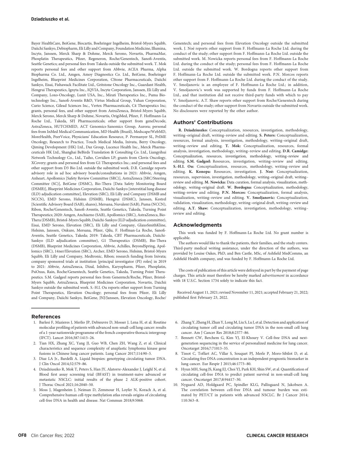Bayer HealthCare, BeiGene, Biocartis, Boehringer Ingelheim, Bristol-Myers Squibb, Daiichi Sankyo, Debiopharm, Eli Lilly and Company, Foundation Medicine, Illumina, Incyte, Janssen, Merck Sharp & Dohme, Merck Serono, Novartis, PharmaMar, Phosplatin Therapeutics, Pfizer, Regeneron, Roche/Genentech, Sanofi-Aventis, Seattle Genetics; and personal fees from Takeda outside the submitted work. T. Mok reports personal fees and other support from Abbvie, ACEA Pharma, Alpha Biopharma Co. Ltd., Amgen, Amoy Diagnostics Co. Ltd., BeiGene, Boehringer Ingelheim, Blueprint Medicines Corporation, CStone Pharmaceuticals, Daiichi Sankyo, Eisai, Fishawack Facilitate Ltd., Gritstone Oncology Inc., Guardant Health, Hengrui Therapeutics, Ignyta Inc., IQVIA, Incyte Corporation, Janssen, Eli Lilly and Company, Loxo-Oncology, Lunit USA, Inc., Mirati Therapeutics Inc., Puma Biotechnology Inc., Sanofi-Aventis R&D, Virtus Medical Group, Yuhan Corporation, Curio Science, Gilead Sciences Inc., Vertex Pharmaceuticals, C4 Therapeutics Inc; grants, personal fees, and other support from AstraZeneca, Bristol-Myers Squibb, Merck Serono, Merck Sharp & Dohme, Novartis, OrigiMed, Pfizer, F. Hoffmann-La Roche Ltd., Takeda, SFJ Pharmaceuticals; other support from geneDecode, AstraZeneca, HUTCHMED, ACT Genomics-Sanomics Group, Aurora; personal fees from InMed Medical Communication, MD Health (Brazil), Medscape/WebMD, MoreHealth, PeerVoice, Physicians' Education Resource, P. Permanyer SL, PrIME Oncology, Research to Practice, Touch Medical Media, Inivata, Berry Oncology, Qiming Development (HK) Ltd., Daz Group, Lucence Health Inc., Merck Pharmaceuticals HK Ltd., Shanghai BeBirds Translation & Consulting Co. Ltd., Liangyihui Network Technology Co., Ltd., Taiho, Covidien LP; grants from Clovis Oncology, XCovery; grants and personal fees from G1 Therapeutics Inc.; and personal fees and other support from D3 Bio Ltd. outside the submitted work. D.R. Camidge reports advisory role in ad hoc advisory boards/consultations in 2021: Abbvie, Amgen, Anheart, Apollomics [Safety Review Committee (SRC)], AstraZeneca [SRC/Steering Committee (SC)], BeiGene (DSMC), Bio-Thera [Data Safety Monitoring Board (DSMB)], Blueprint Medicines Corporation, Daiichi-Sankyo [interstitial lung disease (ILD) adjudication committee], Elevation (SRC), Eli Lilly and Company (DSMB and NCCN), EMD Serono, Helsinn (DSMB), Hengrui (DSMC), Janssen, Kestrel [Scientific Advisory Board (SAB), shares), Mersana, Nuvalent (SAB), Puma (NCCN), Ribon, Roche/Genentech, Sanofi-Aventis, Seattle Genetics, Takeda, Turning Point Therapeutics; 2020: Amgen, Anchiarno (SAB), Apollomics (SRC), AstraZeneca, Bio-Thera (DSMB), Bristol-Myers Squibb, Daiichi-Sankyo (ILD adjudication committee), Eisai, EMD Serono, Elevation (SRC), Eli Lilly and Company, GlaxoSmithKline, Helsinn, Janssen, Onkure, Mersana, Pfizer, Qilu, F. Hoffman-La Roche, Sanofi-Aventis, Seattle Genetics, Takeda; 2019: Takeda, CBT Pharmaceuticals, Daiichi-Sankyo (ILD adjudication committee), G1 Therapeutics (DSMB), Bio-Thera (DSMB), Blueprint Medicines Corporation, Abbvie, Achilles, BeyondSpring, Apollomics (SRC), 14ner/Elevation (SRC), Archer, EMD Serono, Helsinn, Bristol-Myers Squibb, Eli Lilly and Company, Medtronic, Ribon; research funding from Inivata; company sponsored trials at institution [principal investigator (PI) roles] in 2019 to 2021: Abbvie, AstraZeneca, Dizal, Inhibrx, Karyopharm, Pfizer, Phosplatin, PsiOxus, Rain, Roche/Genentech, Seattle Genetics, Takeda, Turning Point Therapeutics. S.M. Gadgeel reports personal fees from Genentech/Roche, Pfizer, Bristol-Myers Squibb, AstraZeneca, Blueprint Medicines Corporation, Novartis, Daichii Sankyo outside the submitted work. S.-H.I. Ou reports other support from Turning Point Therapeutics, Elevation Oncology; personal fees from Pfizer, Eli Lilly and Company, Daiichi Sankyo, BeiGene, JNJ/Janssen, Elevation Oncology, Roche/

## References

- 1. Barlesi F, Mazieres J, Merlio JP, Debieuvre D, Mosser J, Lena H, et al. Routine molecular profiling of patients with advanced non-small-cell lung cancer: results of a 1-year nationwide programme of the french cooperative thoracic intergroup (IFCT). Lancet 2016;387:1415–26.
- 2. Tian HX, Zhang XC, Yang JJ, Guo WB, Chen ZH, Wang Z, et al. Clinical characteristics and sequence complexity of anaplastic lymphoma kinase gene fusions in Chinese lung cancer patients. Lung Cancer 2017;114:90–5.
- 3. Diaz LA Jr., Bardelli A. Liquid biopsies: genotyping circulating tumor DNA. J Clin Oncol 2014;32:579–86.
- 4. Dziadziuszko R, Mok T, Peters S, Han JY, Alatorre-Alexander J, Leighl N, et al. Blood first assay screening trial (BFAST) in treatment-naive advanced or metastatic NSCLC: initial results of the phase 2 ALK-positive cohort. J Thorac Oncol 2021;16:2040–50.
- 5. Moss J, Magenheim J, Neiman D, Zemmour H, Loyfer N, Korach A, et al. Comprehensive human cell-type methylation atlas reveals origins of circulating cell-free DNA in health and disease. Nat Commun 2018;9:5068.

Genentech; and personal fees from Elevation Oncology outside the submitted work. J. Noé reports other support from F. Hoffmann-La Roche Ltd. during the conduct of the study; other support from F. Hoffmann-La Roche Ltd. outside the submitted work. M. Nowicka reports personal fees from F. Hoffmann-La Roche Ltd. during the conduct of the study; personal fees from F. Hoffmann-La Roche Ltd. outside the submitted work. W. Bordogna reports other support from F. Hoffmann-La Roche Ltd. outside the submitted work. P.N. Morcos reports other support from F. Hoffmann-La Roche Ltd. during the conduct of the study. V. Smoljanovic is an employee of F. Hoffmann-La Roche Ltd.; in addition, V. Smoljanovic's work was supported by funds from F. Hoffmann-La Roche Ltd., and that institution did not receive third-party funds with which to pay V. Smoljanovic. A.T. Shaw reports other support from Roche/Genentech during the conduct of the study; other support from Novartis outside the submitted work. No disclosures were reported by the other author.

#### Authors' Contributions

R. Dziadziuszko: Conceptualization, resources, investigation, methodology, writing–original draft, writing–review and editing. S. Peters: Conceptualization, resources, formal analysis, investigation, methodology, writing–original draft, writing–review and editing. T. Mok: Conceptualization, resources, formal analysis, investigation, methodology, writing–review and editing. D.R. Camidge: Conceptualization, resources, investigation, methodology, writing–review and editing. S.M. Gadgeel: Resources, investigation, writing–review and editing. S.-H.I. Ou: Conceptualization, resources, methodology, writing–review and editing. K. Konopa: Resources, investigation. J. Noé: Conceptualization, resources, supervision, investigation, methodology, writing–original draft, writing– review and editing. M. Nowicka: Data curation, formal analysis, visualization, methodology, writing–original draft. W. Bordogna: Conceptualization, methodology, writing–review and editing. P.N. Morcos: Conceptualization, formal analysis, visualization, writing–review and editing. V. Smoljanovic: Conceptualization, validation, visualization, methodology, writing–original draft, writing–review and editing. A.T. Shaw: Conceptualization, investigation, methodology, writing– review and editing.

#### Acknowledgments

This work was funded by F. Hoffmann-La Roche Ltd. No grant number is applicable.

The authors would like to thank the patients, their families, and the study centers. Third-party medical writing assistance, under the direction of the authors, was provided by Louise Oakes, PhD, and Ben Castle, MSc, of Ashfield MedComms, an Ashfield Health company, and was funded by F. Hoffmann-La Roche Ltd.

The costs of publication of this article were defrayed in part by the payment of page charges. This article must therefore be hereby marked advertisement in accordance with 18 U.S.C. Section 1734 solely to indicate this fact.

Received August 11, 2021; revised November 11, 2021; accepted February 21, 2022; published first February 23, 2022.

- 6. Zhang Y, Zheng H, Zhan Y, Long M, Liu S, Lu J, et al. Detection and application of circulating tumor cell and circulating tumor DNA in the non-small cell lung cancer. Am J Cancer Res 2018;8:2377–86.
- 7. Bennett CW, Berchem G, Kim YJ, El-Khoury V. Cell-free DNA and nextgeneration sequencing in the service of personalized medicine for lung cancer. Oncotarget 2016;7:71013–35.
- 8. Tissot C, Toffart AC, Villar S, Souquet PJ, Merle P, Moro-Sibilot D, et al. Circulating free DNA concentration is an independent prognostic biomarker in lung cancer. Eur Respir J 2015;46:1773–80.
- 9. Hyun MH, Sung JS, Kang EJ, Choi YJ, Park KH, Shin SW, et al. Quantification of circulating cell-free DNA to predict patient survival in non-small-cell lung cancer. Oncotarget 2017;8:94417–30.
- 10. Nygaard AD, Holdgaard PC, Spindler KLG, Pallisgaard N, Jakobsen A. The correlation between cell-free DNA and tumour burden was estimated by PET/CT in patients with advanced NSCLC. Br J Cancer 2014; 110:363–8.